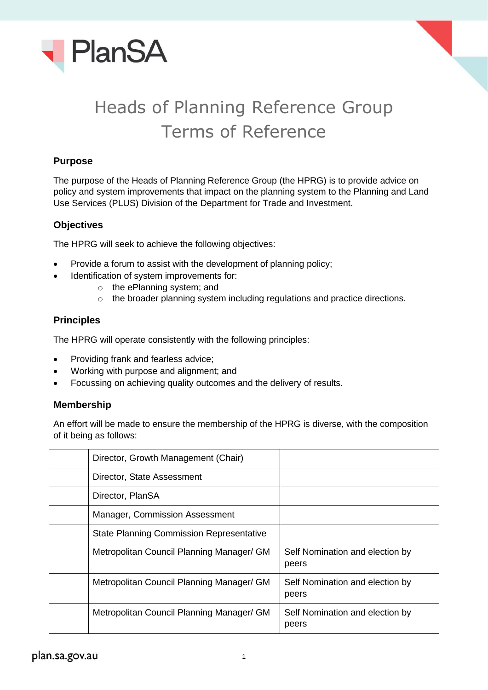



# Heads of Planning Reference Group Terms of Reference

## **Purpose**

The purpose of the Heads of Planning Reference Group (the HPRG) is to provide advice on policy and system improvements that impact on the planning system to the Planning and Land Use Services (PLUS) Division of the Department for Trade and Investment.

## **Objectives**

The HPRG will seek to achieve the following objectives:

- Provide a forum to assist with the development of planning policy;
- Identification of system improvements for:
	- o the ePlanning system; and
	- o the broader planning system including regulations and practice directions.

### **Principles**

The HPRG will operate consistently with the following principles:

- Providing frank and fearless advice;
- Working with purpose and alignment; and
- Focussing on achieving quality outcomes and the delivery of results.

### **Membership**

An effort will be made to ensure the membership of the HPRG is diverse, with the composition of it being as follows:

| Director, Growth Management (Chair)             |                                          |
|-------------------------------------------------|------------------------------------------|
| Director, State Assessment                      |                                          |
| Director, PlanSA                                |                                          |
| Manager, Commission Assessment                  |                                          |
| <b>State Planning Commission Representative</b> |                                          |
| Metropolitan Council Planning Manager/ GM       | Self Nomination and election by<br>peers |
| Metropolitan Council Planning Manager/ GM       | Self Nomination and election by<br>peers |
| Metropolitan Council Planning Manager/ GM       | Self Nomination and election by<br>peers |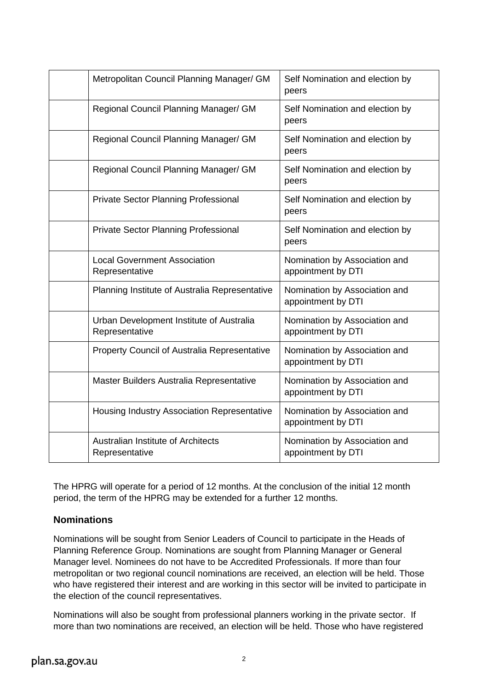| Metropolitan Council Planning Manager/ GM                   | Self Nomination and election by<br>peers            |
|-------------------------------------------------------------|-----------------------------------------------------|
| Regional Council Planning Manager/ GM                       | Self Nomination and election by<br>peers            |
| Regional Council Planning Manager/ GM                       | Self Nomination and election by<br>peers            |
| Regional Council Planning Manager/ GM                       | Self Nomination and election by<br>peers            |
| Private Sector Planning Professional                        | Self Nomination and election by<br>peers            |
| <b>Private Sector Planning Professional</b>                 | Self Nomination and election by<br>peers            |
| <b>Local Government Association</b><br>Representative       | Nomination by Association and<br>appointment by DTI |
| Planning Institute of Australia Representative              | Nomination by Association and<br>appointment by DTI |
| Urban Development Institute of Australia<br>Representative  | Nomination by Association and<br>appointment by DTI |
| Property Council of Australia Representative                | Nomination by Association and<br>appointment by DTI |
| Master Builders Australia Representative                    | Nomination by Association and<br>appointment by DTI |
| <b>Housing Industry Association Representative</b>          | Nomination by Association and<br>appointment by DTI |
| <b>Australian Institute of Architects</b><br>Representative | Nomination by Association and<br>appointment by DTI |

The HPRG will operate for a period of 12 months. At the conclusion of the initial 12 month period, the term of the HPRG may be extended for a further 12 months.

### **Nominations**

Nominations will be sought from Senior Leaders of Council to participate in the Heads of Planning Reference Group. Nominations are sought from Planning Manager or General Manager level. Nominees do not have to be Accredited Professionals. If more than four metropolitan or two regional council nominations are received, an election will be held. Those who have registered their interest and are working in this sector will be invited to participate in the election of the council representatives.

Nominations will also be sought from professional planners working in the private sector. If more than two nominations are received, an election will be held. Those who have registered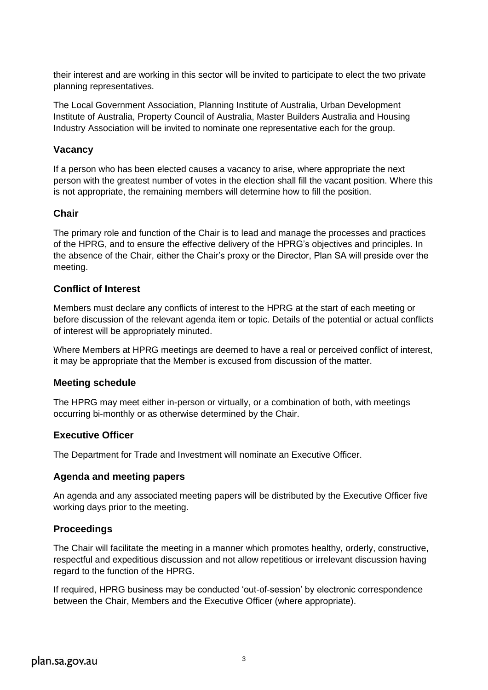their interest and are working in this sector will be invited to participate to elect the two private planning representatives.

The Local Government Association, Planning Institute of Australia, Urban Development Institute of Australia, Property Council of Australia, Master Builders Australia and Housing Industry Association will be invited to nominate one representative each for the group.

### **Vacancy**

If a person who has been elected causes a vacancy to arise, where appropriate the next person with the greatest number of votes in the election shall fill the vacant position. Where this is not appropriate, the remaining members will determine how to fill the position.

## **Chair**

The primary role and function of the Chair is to lead and manage the processes and practices of the HPRG, and to ensure the effective delivery of the HPRG's objectives and principles. In the absence of the Chair, either the Chair's proxy or the Director, Plan SA will preside over the meeting.

## **Conflict of Interest**

Members must declare any conflicts of interest to the HPRG at the start of each meeting or before discussion of the relevant agenda item or topic. Details of the potential or actual conflicts of interest will be appropriately minuted.

Where Members at HPRG meetings are deemed to have a real or perceived conflict of interest, it may be appropriate that the Member is excused from discussion of the matter.

### **Meeting schedule**

The HPRG may meet either in-person or virtually, or a combination of both, with meetings occurring bi-monthly or as otherwise determined by the Chair.

# **Executive Officer**

The Department for Trade and Investment will nominate an Executive Officer.

### **Agenda and meeting papers**

An agenda and any associated meeting papers will be distributed by the Executive Officer five working days prior to the meeting.

# **Proceedings**

The Chair will facilitate the meeting in a manner which promotes healthy, orderly, constructive, respectful and expeditious discussion and not allow repetitious or irrelevant discussion having regard to the function of the HPRG.

If required, HPRG business may be conducted 'out-of-session' by electronic correspondence between the Chair, Members and the Executive Officer (where appropriate).